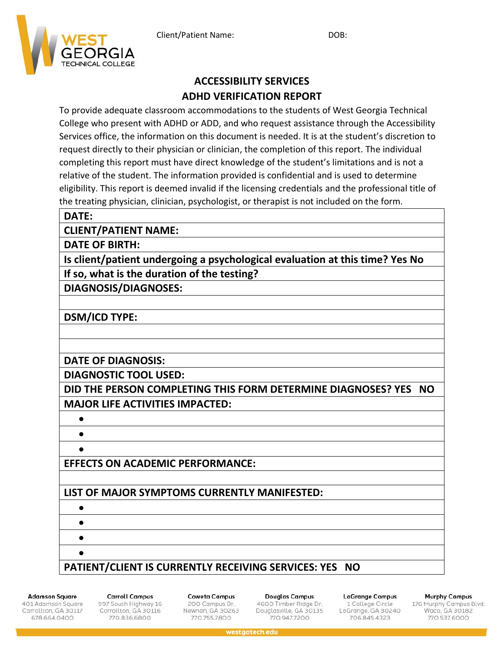

# **ACCESSIBILITY SERVICES ADHD VERIFICATION REPORT**

To provide adequate classroom accommodations to the students of West Georgia Technical College who present with ADHD or ADD, and who request assistance through the Accessibility Services office, the information on this document is needed. It is at the student's discretion to request directly to their physician or clinician, the completion of this report. The individual completing this report must have direct knowledge of the student's limitations and is not a relative of the student. The information provided is confidential and is used to determine eligibility. This report is deemed invalid if the licensing credentials and the professional title of the treating physician, clinician, psychologist, or therapist is not included on the form.

#### **DATE:**

**CLIENT/PATIENT NAME:**

**DATE OF BIRTH:**

**Is client/patient undergoing a psychological evaluation at this time? Yes No If so, what is the duration of the testing?**

**DIAGNOSIS/DIAGNOSES:**

**DSM/ICD TYPE:**

**DATE OF DIAGNOSIS:**

**DIAGNOSTIC TOOL USED:**

**DID THE PERSON COMPLETING THIS FORM DETERMINE DIAGNOSES? YES NO MAJOR LIFE ACTIVITIES IMPACTED:**

• •

•

• • • •

**EFFECTS ON ACADEMIC PERFORMANCE:**

## **LIST OF MAJOR SYMPTOMS CURRENTLY MANIFESTED:**

### **PATIENT/CLIENT IS CURRENTLY RECEIVING SERVICES: YES NO**

**Adamson Square** 

401 Adamson Square Carrollton, GA 30117 678.664.0400

**Carroll Campus** 997 South Highway 16 Carrollton, GA 30116 770.836.6800

**Coweta Campus** 200 Campus Dr. Newnan, GA 30263 770.755.7800

Douglas Campus 4600 Timber Ridge Dr. Douglasville, GA 30135 770,947,7200

**LaGrange Campus** 1 College Circle LaGrange, GA 30240 706.845.4323

**Murphy Campus** 

176 Murphy Campus Blvd.<br>Waco, GA 30182 770.537.6000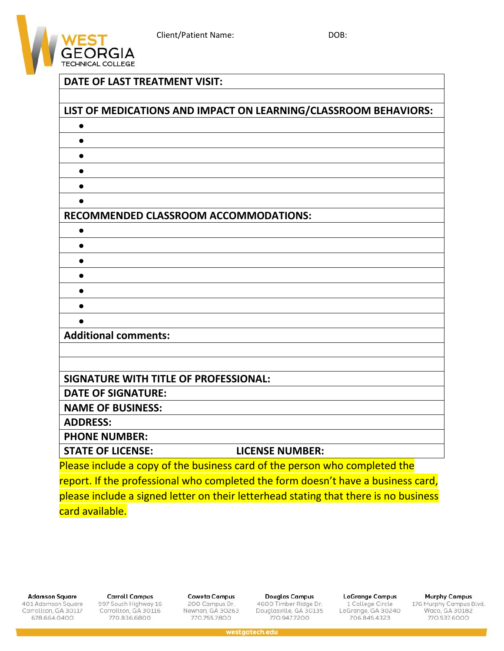

### **DATE OF LAST TREATMENT VISIT:**

| LIST OF MEDICATIONS AND IMPACT ON LEARNING/CLASSROOM BEHAVIORS:                  |                                                                                      |
|----------------------------------------------------------------------------------|--------------------------------------------------------------------------------------|
|                                                                                  |                                                                                      |
| $\bullet$                                                                        |                                                                                      |
|                                                                                  |                                                                                      |
|                                                                                  |                                                                                      |
| $\bullet$                                                                        |                                                                                      |
|                                                                                  |                                                                                      |
| <b>RECOMMENDED CLASSROOM ACCOMMODATIONS:</b>                                     |                                                                                      |
| $\bullet$                                                                        |                                                                                      |
| $\bullet$                                                                        |                                                                                      |
| $\bullet$                                                                        |                                                                                      |
| $\bullet$                                                                        |                                                                                      |
|                                                                                  |                                                                                      |
|                                                                                  |                                                                                      |
|                                                                                  |                                                                                      |
| <b>Additional comments:</b>                                                      |                                                                                      |
|                                                                                  |                                                                                      |
|                                                                                  |                                                                                      |
| <b>SIGNATURE WITH TITLE OF PROFESSIONAL:</b>                                     |                                                                                      |
| <b>DATE OF SIGNATURE:</b>                                                        |                                                                                      |
| <b>NAME OF BUSINESS:</b>                                                         |                                                                                      |
| <b>ADDRESS:</b>                                                                  |                                                                                      |
| <b>PHONE NUMBER:</b>                                                             |                                                                                      |
| <b>STATE OF LICENSE:</b>                                                         | <b>LICENSE NUMBER:</b>                                                               |
| Please include a copy of the business card of the person who completed the       |                                                                                      |
| report. If the professional who completed the form doesn't have a business card, |                                                                                      |
|                                                                                  | please include a signed letter on their letterhead stating that there is no business |
| card available.                                                                  |                                                                                      |

**Adamson Square** 

401 Adamson Square<br>Carrollton, GA 30117 678.664.0400

**Carroll Campus** 997 South Highway 16<br>Carrollton, GA 30116 770.836.6800

**Coweta Campus** 200 Campus Dr. Newnan, GA 30263 770.755.7800

**Douglas Campus** 4600 Timber Ridge Dr.<br>Douglasville, GA 30135 770.947.7200

**LaGrange Campus** 1 College Circle<br>LaGrange, GA 30240 706.845.4323

**Murphy Campus** 

176 Murphy Campus Blvd.<br>Waco, GA 30182<br>770.537.6000

westgatech.edu